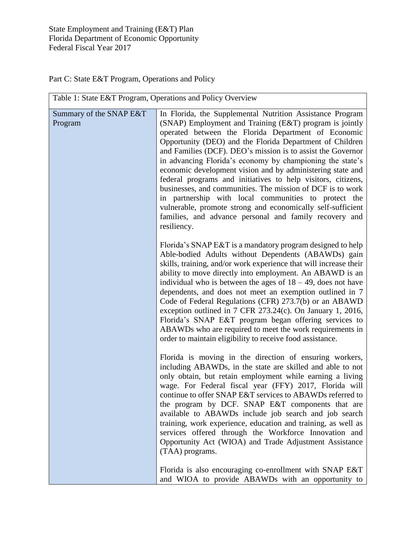Part C: State E&T Program, Operations and Policy

| Table 1: State E&T Program, Operations and Policy Overview |                                                                                                                                                                                                                                                                                                                                                                                                                                                                                                                                                                                                                                                                                                                                                                 |
|------------------------------------------------------------|-----------------------------------------------------------------------------------------------------------------------------------------------------------------------------------------------------------------------------------------------------------------------------------------------------------------------------------------------------------------------------------------------------------------------------------------------------------------------------------------------------------------------------------------------------------------------------------------------------------------------------------------------------------------------------------------------------------------------------------------------------------------|
| Summary of the SNAP E&T<br>Program                         | In Florida, the Supplemental Nutrition Assistance Program<br>(SNAP) Employment and Training (E&T) program is jointly<br>operated between the Florida Department of Economic<br>Opportunity (DEO) and the Florida Department of Children<br>and Families (DCF). DEO's mission is to assist the Governor<br>in advancing Florida's economy by championing the state's<br>economic development vision and by administering state and<br>federal programs and initiatives to help visitors, citizens,<br>businesses, and communities. The mission of DCF is to work<br>in partnership with local communities to protect the<br>vulnerable, promote strong and economically self-sufficient<br>families, and advance personal and family recovery and<br>resiliency. |
|                                                            | Florida's SNAP E&T is a mandatory program designed to help<br>Able-bodied Adults without Dependents (ABAWDs) gain<br>skills, training, and/or work experience that will increase their<br>ability to move directly into employment. An ABAWD is an<br>individual who is between the ages of $18 - 49$ , does not have<br>dependents, and does not meet an exemption outlined in 7<br>Code of Federal Regulations (CFR) 273.7(b) or an ABAWD<br>exception outlined in 7 CFR 273.24(c). On January 1, 2016,<br>Florida's SNAP E&T program began offering services to<br>ABAWDs who are required to meet the work requirements in<br>order to maintain eligibility to receive food assistance.                                                                     |
|                                                            | Florida is moving in the direction of ensuring workers,<br>including ABAWDs, in the state are skilled and able to not<br>only obtain, but retain employment while earning a living<br>wage. For Federal fiscal year (FFY) 2017, Florida will<br>continue to offer SNAP E&T services to ABAWDs referred to<br>the program by DCF. SNAP E&T components that are<br>available to ABAWDs include job search and job search<br>training, work experience, education and training, as well as<br>services offered through the Workforce Innovation and<br>Opportunity Act (WIOA) and Trade Adjustment Assistance<br>(TAA) programs.<br>Florida is also encouraging co-enrollment with SNAP E&T                                                                        |
|                                                            | and WIOA to provide ABAWDs with an opportunity to                                                                                                                                                                                                                                                                                                                                                                                                                                                                                                                                                                                                                                                                                                               |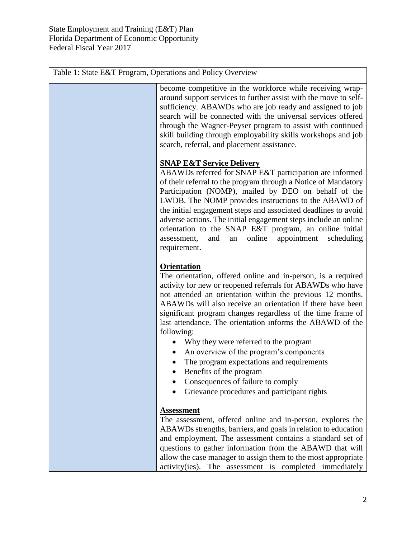| Table 1: State E&T Program, Operations and Policy Overview |                                                                                                                                                                                                                                                                                                                                                                                                                                                                                                                                                                                                                                                                        |
|------------------------------------------------------------|------------------------------------------------------------------------------------------------------------------------------------------------------------------------------------------------------------------------------------------------------------------------------------------------------------------------------------------------------------------------------------------------------------------------------------------------------------------------------------------------------------------------------------------------------------------------------------------------------------------------------------------------------------------------|
|                                                            | become competitive in the workforce while receiving wrap-<br>around support services to further assist with the move to self-<br>sufficiency. ABAWDs who are job ready and assigned to job<br>search will be connected with the universal services offered<br>through the Wagner-Peyser program to assist with continued<br>skill building through employability skills workshops and job<br>search, referral, and placement assistance.                                                                                                                                                                                                                               |
|                                                            | <b>SNAP E&amp;T Service Delivery</b><br>ABAWDs referred for SNAP E&T participation are informed<br>of their referral to the program through a Notice of Mandatory<br>Participation (NOMP), mailed by DEO on behalf of the<br>LWDB. The NOMP provides instructions to the ABAWD of<br>the initial engagement steps and associated deadlines to avoid<br>adverse actions. The initial engagement steps include an online<br>orientation to the SNAP E&T program, an online initial<br>online<br>appointment<br>scheduling<br>assessment,<br>and<br>an<br>requirement.                                                                                                    |
|                                                            | <b>Orientation</b><br>The orientation, offered online and in-person, is a required<br>activity for new or reopened referrals for ABAWDs who have<br>not attended an orientation within the previous 12 months.<br>ABAWDs will also receive an orientation if there have been<br>significant program changes regardless of the time frame of<br>last attendance. The orientation informs the ABAWD of the<br>following:<br>Why they were referred to the program<br>An overview of the program's components<br>The program expectations and requirements<br>Benefits of the program<br>Consequences of failure to comply<br>Grievance procedures and participant rights |
|                                                            | <b>Assessment</b><br>The assessment, offered online and in-person, explores the<br>ABAWDs strengths, barriers, and goals in relation to education<br>and employment. The assessment contains a standard set of<br>questions to gather information from the ABAWD that will<br>allow the case manager to assign them to the most appropriate<br>activity(ies). The assessment is completed immediately                                                                                                                                                                                                                                                                  |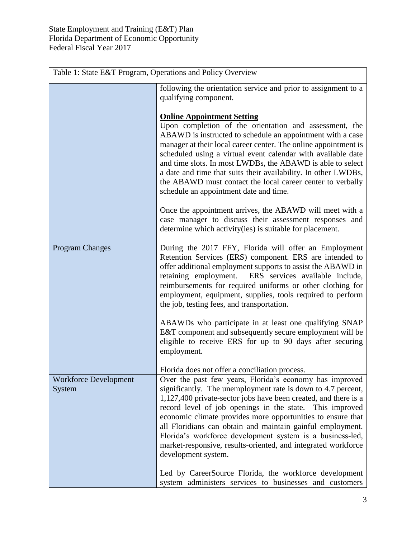| Table 1: State E&T Program, Operations and Policy Overview |                                                                                                                                                                                                                                                                                                                                                                                                                                                                                                                                          |
|------------------------------------------------------------|------------------------------------------------------------------------------------------------------------------------------------------------------------------------------------------------------------------------------------------------------------------------------------------------------------------------------------------------------------------------------------------------------------------------------------------------------------------------------------------------------------------------------------------|
|                                                            | following the orientation service and prior to assignment to a<br>qualifying component.                                                                                                                                                                                                                                                                                                                                                                                                                                                  |
|                                                            | <b>Online Appointment Setting</b><br>Upon completion of the orientation and assessment, the<br>ABAWD is instructed to schedule an appointment with a case<br>manager at their local career center. The online appointment is<br>scheduled using a virtual event calendar with available date<br>and time slots. In most LWDBs, the ABAWD is able to select<br>a date and time that suits their availability. In other LWDBs,<br>the ABAWD must contact the local career center to verbally<br>schedule an appointment date and time.     |
|                                                            | Once the appointment arrives, the ABAWD will meet with a<br>case manager to discuss their assessment responses and<br>determine which activity (ies) is suitable for placement.                                                                                                                                                                                                                                                                                                                                                          |
| <b>Program Changes</b>                                     | During the 2017 FFY, Florida will offer an Employment<br>Retention Services (ERS) component. ERS are intended to<br>offer additional employment supports to assist the ABAWD in<br>retaining employment. ERS services available include,<br>reimbursements for required uniforms or other clothing for<br>employment, equipment, supplies, tools required to perform<br>the job, testing fees, and transportation.                                                                                                                       |
|                                                            | ABAWDs who participate in at least one qualifying SNAP<br>E&T component and subsequently secure employment will be<br>eligible to receive ERS for up to 90 days after securing<br>employment.                                                                                                                                                                                                                                                                                                                                            |
|                                                            | Florida does not offer a conciliation process.                                                                                                                                                                                                                                                                                                                                                                                                                                                                                           |
| <b>Workforce Development</b><br>System                     | Over the past few years, Florida's economy has improved<br>significantly. The unemployment rate is down to 4.7 percent,<br>1,127,400 private-sector jobs have been created, and there is a<br>record level of job openings in the state. This improved<br>economic climate provides more opportunities to ensure that<br>all Floridians can obtain and maintain gainful employment.<br>Florida's workforce development system is a business-led,<br>market-responsive, results-oriented, and integrated workforce<br>development system. |
|                                                            | Led by CareerSource Florida, the workforce development<br>system administers services to businesses and customers                                                                                                                                                                                                                                                                                                                                                                                                                        |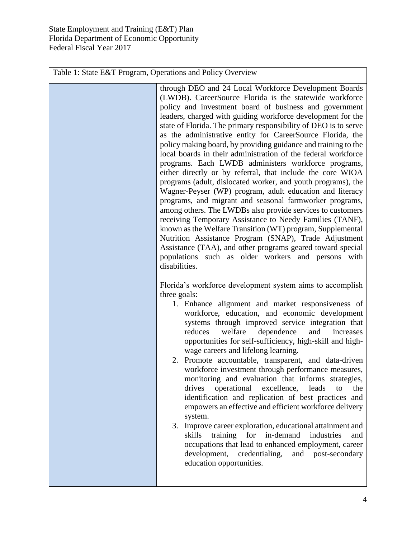| Table 1: State E&T Program, Operations and Policy Overview |                                                                                                                                                                                                                                                                                                                                                                                                                                                                                                                                                                                                                                                                                                                                                                                                                                                                                                                                                                                                                                                                                                                                                                                                                 |
|------------------------------------------------------------|-----------------------------------------------------------------------------------------------------------------------------------------------------------------------------------------------------------------------------------------------------------------------------------------------------------------------------------------------------------------------------------------------------------------------------------------------------------------------------------------------------------------------------------------------------------------------------------------------------------------------------------------------------------------------------------------------------------------------------------------------------------------------------------------------------------------------------------------------------------------------------------------------------------------------------------------------------------------------------------------------------------------------------------------------------------------------------------------------------------------------------------------------------------------------------------------------------------------|
|                                                            | through DEO and 24 Local Workforce Development Boards<br>(LWDB). CareerSource Florida is the statewide workforce<br>policy and investment board of business and government<br>leaders, charged with guiding workforce development for the<br>state of Florida. The primary responsibility of DEO is to serve<br>as the administrative entity for CareerSource Florida, the<br>policy making board, by providing guidance and training to the<br>local boards in their administration of the federal workforce<br>programs. Each LWDB administers workforce programs,<br>either directly or by referral, that include the core WIOA<br>programs (adult, dislocated worker, and youth programs), the<br>Wagner-Peyser (WP) program, adult education and literacy<br>programs, and migrant and seasonal farmworker programs,<br>among others. The LWDBs also provide services to customers<br>receiving Temporary Assistance to Needy Families (TANF),<br>known as the Welfare Transition (WT) program, Supplemental<br>Nutrition Assistance Program (SNAP), Trade Adjustment<br>Assistance (TAA), and other programs geared toward special<br>populations such as older workers and persons with<br>disabilities. |
|                                                            | Florida's workforce development system aims to accomplish<br>three goals:<br>1. Enhance alignment and market responsiveness of<br>workforce, education, and economic development<br>systems through improved service integration that<br>and<br>welfare<br>dependence<br>reduces<br>increases<br>opportunities for self-sufficiency, high-skill and high-<br>wage careers and lifelong learning.<br>2. Promote accountable, transparent, and data-driven<br>workforce investment through performance measures,<br>monitoring and evaluation that informs strategies,<br>operational<br>drives<br>excellence,<br>leads<br>the<br>to<br>identification and replication of best practices and<br>empowers an effective and efficient workforce delivery<br>system.<br>3. Improve career exploration, educational attainment and<br>training for in-demand<br>industries<br>skills<br>and<br>occupations that lead to enhanced employment, career<br>development,<br>credentialing,<br>and post-secondary<br>education opportunities.                                                                                                                                                                               |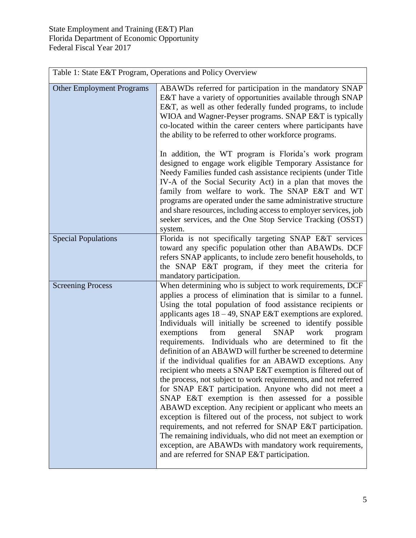| Table 1: State E&T Program, Operations and Policy Overview |                                                                                                                                                                                                                                                                                                                                                                                                                                                                                                                                                                                                                                                                                                                                                                                                                                                                                                                                                                                                                                                                                                                                                                                                 |  |
|------------------------------------------------------------|-------------------------------------------------------------------------------------------------------------------------------------------------------------------------------------------------------------------------------------------------------------------------------------------------------------------------------------------------------------------------------------------------------------------------------------------------------------------------------------------------------------------------------------------------------------------------------------------------------------------------------------------------------------------------------------------------------------------------------------------------------------------------------------------------------------------------------------------------------------------------------------------------------------------------------------------------------------------------------------------------------------------------------------------------------------------------------------------------------------------------------------------------------------------------------------------------|--|
| <b>Other Employment Programs</b>                           | ABAWDs referred for participation in the mandatory SNAP<br>E&T have a variety of opportunities available through SNAP<br>E&T, as well as other federally funded programs, to include<br>WIOA and Wagner-Peyser programs. SNAP E&T is typically<br>co-located within the career centers where participants have<br>the ability to be referred to other workforce programs.                                                                                                                                                                                                                                                                                                                                                                                                                                                                                                                                                                                                                                                                                                                                                                                                                       |  |
|                                                            | In addition, the WT program is Florida's work program<br>designed to engage work eligible Temporary Assistance for<br>Needy Families funded cash assistance recipients (under Title<br>IV-A of the Social Security Act) in a plan that moves the<br>family from welfare to work. The SNAP E&T and WT<br>programs are operated under the same administrative structure<br>and share resources, including access to employer services, job<br>seeker services, and the One Stop Service Tracking (OSST)<br>system.                                                                                                                                                                                                                                                                                                                                                                                                                                                                                                                                                                                                                                                                                |  |
| <b>Special Populations</b>                                 | Florida is not specifically targeting SNAP E&T services<br>toward any specific population other than ABAWDs. DCF<br>refers SNAP applicants, to include zero benefit households, to<br>the SNAP E&T program, if they meet the criteria for<br>mandatory participation.                                                                                                                                                                                                                                                                                                                                                                                                                                                                                                                                                                                                                                                                                                                                                                                                                                                                                                                           |  |
| <b>Screening Process</b>                                   | When determining who is subject to work requirements, DCF<br>applies a process of elimination that is similar to a funnel.<br>Using the total population of food assistance recipients or<br>applicants ages $18 - 49$ , SNAP E&T exemptions are explored.<br>Individuals will initially be screened to identify possible<br>from general<br>SNAP<br>work<br>exemptions<br>program<br>requirements. Individuals who are determined to fit the<br>definition of an ABAWD will further be screened to determine<br>if the individual qualifies for an ABAWD exceptions. Any<br>recipient who meets a SNAP E&T exemption is filtered out of<br>the process, not subject to work requirements, and not referred<br>for SNAP E&T participation. Anyone who did not meet a<br>SNAP E&T exemption is then assessed for a possible<br>ABAWD exception. Any recipient or applicant who meets an<br>exception is filtered out of the process, not subject to work<br>requirements, and not referred for SNAP E&T participation.<br>The remaining individuals, who did not meet an exemption or<br>exception, are ABAWDs with mandatory work requirements,<br>and are referred for SNAP E&T participation. |  |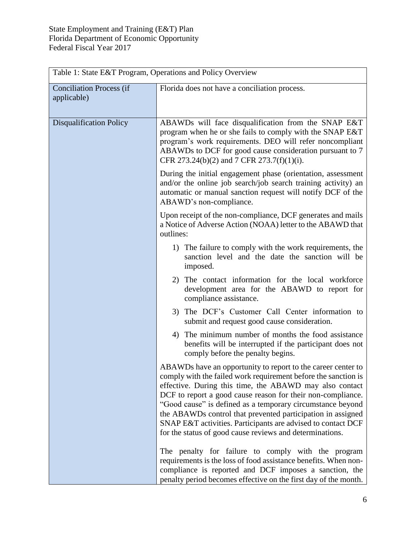| Table 1: State E&T Program, Operations and Policy Overview |                                                                                                                                                                                                                                                                                                                                                                                                                                                                                                                   |  |
|------------------------------------------------------------|-------------------------------------------------------------------------------------------------------------------------------------------------------------------------------------------------------------------------------------------------------------------------------------------------------------------------------------------------------------------------------------------------------------------------------------------------------------------------------------------------------------------|--|
| <b>Conciliation Process (if</b><br>applicable)             | Florida does not have a conciliation process.                                                                                                                                                                                                                                                                                                                                                                                                                                                                     |  |
| <b>Disqualification Policy</b>                             | ABAWDs will face disqualification from the SNAP E&T<br>program when he or she fails to comply with the SNAP E&T<br>program's work requirements. DEO will refer noncompliant<br>ABAWDs to DCF for good cause consideration pursuant to 7<br>CFR 273.24(b)(2) and 7 CFR 273.7(f)(1)(i).                                                                                                                                                                                                                             |  |
|                                                            | During the initial engagement phase (orientation, assessment<br>and/or the online job search/job search training activity) an<br>automatic or manual sanction request will notify DCF of the<br>ABAWD's non-compliance.                                                                                                                                                                                                                                                                                           |  |
|                                                            | Upon receipt of the non-compliance, DCF generates and mails<br>a Notice of Adverse Action (NOAA) letter to the ABAWD that<br>outlines:                                                                                                                                                                                                                                                                                                                                                                            |  |
|                                                            | 1) The failure to comply with the work requirements, the<br>sanction level and the date the sanction will be<br>imposed.                                                                                                                                                                                                                                                                                                                                                                                          |  |
|                                                            | 2) The contact information for the local workforce<br>development area for the ABAWD to report for<br>compliance assistance.                                                                                                                                                                                                                                                                                                                                                                                      |  |
|                                                            | 3) The DCF's Customer Call Center information to<br>submit and request good cause consideration.<br>4) The minimum number of months the food assistance<br>benefits will be interrupted if the participant does not<br>comply before the penalty begins.                                                                                                                                                                                                                                                          |  |
|                                                            |                                                                                                                                                                                                                                                                                                                                                                                                                                                                                                                   |  |
|                                                            | ABAWDs have an opportunity to report to the career center to<br>comply with the failed work requirement before the sanction is<br>effective. During this time, the ABAWD may also contact<br>DCF to report a good cause reason for their non-compliance.<br>"Good cause" is defined as a temporary circumstance beyond<br>the ABAWDs control that prevented participation in assigned<br>SNAP E&T activities. Participants are advised to contact DCF<br>for the status of good cause reviews and determinations. |  |
|                                                            | The penalty for failure to comply with the program<br>requirements is the loss of food assistance benefits. When non-<br>compliance is reported and DCF imposes a sanction, the<br>penalty period becomes effective on the first day of the month.                                                                                                                                                                                                                                                                |  |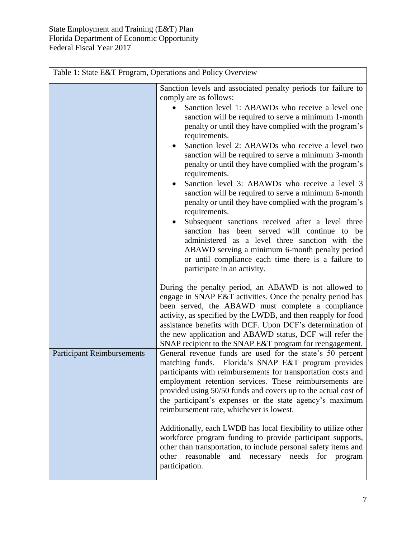| Sanction levels and associated penalty periods for failure to<br>comply are as follows:<br>Sanction level 1: ABAWDs who receive a level one<br>penalty or until they have complied with the program's<br>requirements.<br>Sanction level 2: ABAWDs who receive a level two<br>$\bullet$<br>sanction will be required to serve a minimum 3-month<br>penalty or until they have complied with the program's<br>requirements.<br>Sanction level 3: ABAWDs who receive a level 3<br>$\bullet$<br>sanction will be required to serve a minimum 6-month<br>penalty or until they have complied with the program's<br>requirements.<br>Subsequent sanctions received after a level three<br>sanction has been served will continue<br>to<br>be<br>administered as a level three sanction with the<br>or until compliance each time there is a failure to<br>participate in an activity.<br>During the penalty period, an ABAWD is not allowed to<br>engage in SNAP E&T activities. Once the penalty period has<br>been served, the ABAWD must complete a compliance<br>activity, as specified by the LWDB, and then reapply for food<br>the new application and ABAWD status, DCF will refer the<br>SNAP recipient to the SNAP E&T program for reengagement.<br><b>Participant Reimbursements</b><br>reimbursement rate, whichever is lowest. | reasonable<br>other<br>and<br>necessary<br>needs<br>for<br>program<br>participation. | Table 1: State E&T Program, Operations and Policy Overview |                                                                                                                                                                                                                                                                                                                                                                                                                                                                                                           |
|----------------------------------------------------------------------------------------------------------------------------------------------------------------------------------------------------------------------------------------------------------------------------------------------------------------------------------------------------------------------------------------------------------------------------------------------------------------------------------------------------------------------------------------------------------------------------------------------------------------------------------------------------------------------------------------------------------------------------------------------------------------------------------------------------------------------------------------------------------------------------------------------------------------------------------------------------------------------------------------------------------------------------------------------------------------------------------------------------------------------------------------------------------------------------------------------------------------------------------------------------------------------------------------------------------------------------------------|--------------------------------------------------------------------------------------|------------------------------------------------------------|-----------------------------------------------------------------------------------------------------------------------------------------------------------------------------------------------------------------------------------------------------------------------------------------------------------------------------------------------------------------------------------------------------------------------------------------------------------------------------------------------------------|
|                                                                                                                                                                                                                                                                                                                                                                                                                                                                                                                                                                                                                                                                                                                                                                                                                                                                                                                                                                                                                                                                                                                                                                                                                                                                                                                                        |                                                                                      |                                                            | sanction will be required to serve a minimum 1-month<br>ABAWD serving a minimum 6-month penalty period                                                                                                                                                                                                                                                                                                                                                                                                    |
| workforce program funding to provide participant supports,<br>other than transportation, to include personal safety items and                                                                                                                                                                                                                                                                                                                                                                                                                                                                                                                                                                                                                                                                                                                                                                                                                                                                                                                                                                                                                                                                                                                                                                                                          |                                                                                      |                                                            | assistance benefits with DCF. Upon DCF's determination of<br>General revenue funds are used for the state's 50 percent<br>matching funds. Florida's SNAP E&T program provides<br>participants with reimbursements for transportation costs and<br>employment retention services. These reimbursements are<br>provided using 50/50 funds and covers up to the actual cost of<br>the participant's expenses or the state agency's maximum<br>Additionally, each LWDB has local flexibility to utilize other |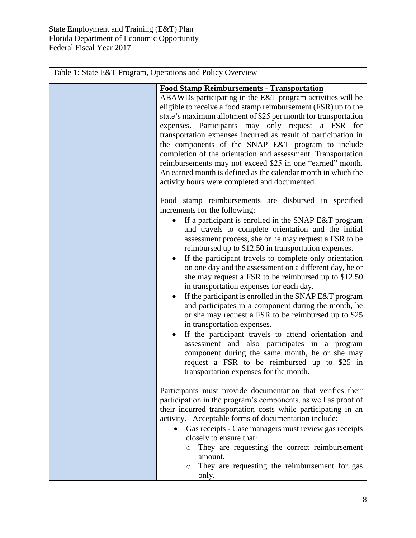| Table 1: State E&T Program, Operations and Policy Overview |                                                                                                                                                                                                                                                                                                                                                                                                                                                                                                                                                                                                                                                                                                                                                                                                                                                                                                                                                                                                                            |
|------------------------------------------------------------|----------------------------------------------------------------------------------------------------------------------------------------------------------------------------------------------------------------------------------------------------------------------------------------------------------------------------------------------------------------------------------------------------------------------------------------------------------------------------------------------------------------------------------------------------------------------------------------------------------------------------------------------------------------------------------------------------------------------------------------------------------------------------------------------------------------------------------------------------------------------------------------------------------------------------------------------------------------------------------------------------------------------------|
|                                                            | <b>Food Stamp Reimbursements - Transportation</b><br>ABAWDs participating in the E&T program activities will be<br>eligible to receive a food stamp reimbursement (FSR) up to the<br>state's maximum allotment of \$25 per month for transportation<br>expenses. Participants may only request a FSR for<br>transportation expenses incurred as result of participation in<br>the components of the SNAP E&T program to include<br>completion of the orientation and assessment. Transportation<br>reimbursements may not exceed \$25 in one "earned" month.<br>An earned month is defined as the calendar month in which the<br>activity hours were completed and documented.                                                                                                                                                                                                                                                                                                                                             |
|                                                            | Food stamp reimbursements are disbursed in specified<br>increments for the following:<br>If a participant is enrolled in the SNAP E&T program<br>and travels to complete orientation and the initial<br>assessment process, she or he may request a FSR to be<br>reimbursed up to \$12.50 in transportation expenses.<br>If the participant travels to complete only orientation<br>on one day and the assessment on a different day, he or<br>she may request a FSR to be reimbursed up to \$12.50<br>in transportation expenses for each day.<br>If the participant is enrolled in the SNAP E&T program<br>$\bullet$<br>and participates in a component during the month, he<br>or she may request a FSR to be reimbursed up to \$25<br>in transportation expenses.<br>If the participant travels to attend orientation and<br>assessment and also participates in a program<br>component during the same month, he or she may<br>request a FSR to be reimbursed up to \$25 in<br>transportation expenses for the month. |
|                                                            | Participants must provide documentation that verifies their<br>participation in the program's components, as well as proof of<br>their incurred transportation costs while participating in an<br>activity. Acceptable forms of documentation include:<br>Gas receipts - Case managers must review gas receipts<br>closely to ensure that:<br>They are requesting the correct reimbursement<br>amount.<br>They are requesting the reimbursement for gas<br>O<br>only.                                                                                                                                                                                                                                                                                                                                                                                                                                                                                                                                                      |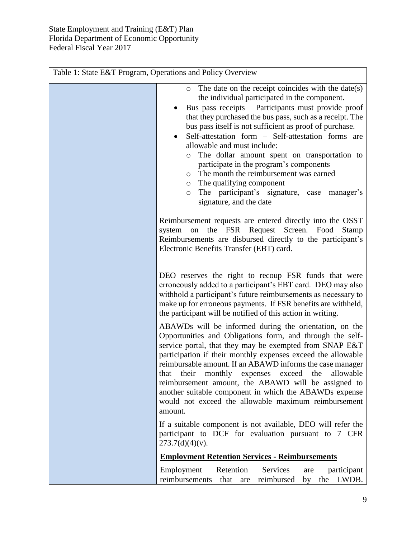| Table 1: State E&T Program, Operations and Policy Overview |                                                                                                                                                                                                                                                                                                                                                                                                                                                                                                                                                                                                                                                                                                                                                                                                                                                                                                                                                                                                                                                                                             |
|------------------------------------------------------------|---------------------------------------------------------------------------------------------------------------------------------------------------------------------------------------------------------------------------------------------------------------------------------------------------------------------------------------------------------------------------------------------------------------------------------------------------------------------------------------------------------------------------------------------------------------------------------------------------------------------------------------------------------------------------------------------------------------------------------------------------------------------------------------------------------------------------------------------------------------------------------------------------------------------------------------------------------------------------------------------------------------------------------------------------------------------------------------------|
|                                                            | The date on the receipt coincides with the date(s)<br>$\circ$<br>the individual participated in the component.<br>Bus pass receipts - Participants must provide proof<br>that they purchased the bus pass, such as a receipt. The<br>bus pass itself is not sufficient as proof of purchase.<br>Self-attestation form - Self-attestation forms are<br>allowable and must include:<br>The dollar amount spent on transportation to<br>$\circ$<br>participate in the program's components<br>The month the reimbursement was earned<br>$\circ$<br>The qualifying component<br>$\circ$<br>The participant's signature, case<br>manager's<br>$\circ$<br>signature, and the date<br>Reimbursement requests are entered directly into the OSST<br>the<br>FSR<br>Request Screen.<br>Food<br>Stamp<br>system<br>on<br>Reimbursements are disbursed directly to the participant's<br>Electronic Benefits Transfer (EBT) card.                                                                                                                                                                        |
|                                                            | DEO reserves the right to recoup FSR funds that were<br>erroneously added to a participant's EBT card. DEO may also<br>withhold a participant's future reimbursements as necessary to<br>make up for erroneous payments. If FSR benefits are withheld,<br>the participant will be notified of this action in writing.<br>ABAWDs will be informed during the orientation, on the<br>Opportunities and Obligations form, and through the self-<br>service portal, that they may be exempted from SNAP E&T<br>participation if their monthly expenses exceed the allowable<br>reimbursable amount. If an ABAWD informs the case manager<br>their<br>monthly expenses exceed the<br>allowable<br>that<br>reimbursement amount, the ABAWD will be assigned to<br>another suitable component in which the ABAWDs expense<br>would not exceed the allowable maximum reimbursement<br>amount.<br>If a suitable component is not available, DEO will refer the<br>participant to DCF for evaluation pursuant to 7 CFR<br>$273.7(d)(4)(v)$ .<br><b>Employment Retention Services - Reimbursements</b> |
|                                                            | Retention<br>Services<br>Employment<br>participant<br>are<br>reimbursements<br>reimbursed<br>LWDB.<br>that<br>by<br>the<br>are                                                                                                                                                                                                                                                                                                                                                                                                                                                                                                                                                                                                                                                                                                                                                                                                                                                                                                                                                              |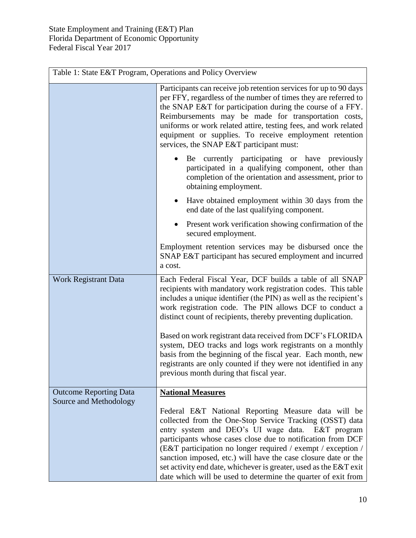|                               | Table 1: State E&T Program, Operations and Policy Overview                                                                                                                                                                                                                                                                                                                                                                                                                                                 |  |
|-------------------------------|------------------------------------------------------------------------------------------------------------------------------------------------------------------------------------------------------------------------------------------------------------------------------------------------------------------------------------------------------------------------------------------------------------------------------------------------------------------------------------------------------------|--|
|                               | Participants can receive job retention services for up to 90 days<br>per FFY, regardless of the number of times they are referred to<br>the SNAP E&T for participation during the course of a FFY.<br>Reimbursements may be made for transportation costs,<br>uniforms or work related attire, testing fees, and work related<br>equipment or supplies. To receive employment retention<br>services, the SNAP E&T participant must:                                                                        |  |
|                               | Be currently participating or have previously<br>participated in a qualifying component, other than<br>completion of the orientation and assessment, prior to<br>obtaining employment.                                                                                                                                                                                                                                                                                                                     |  |
|                               | Have obtained employment within 30 days from the<br>end date of the last qualifying component.                                                                                                                                                                                                                                                                                                                                                                                                             |  |
|                               | Present work verification showing confirmation of the<br>secured employment.                                                                                                                                                                                                                                                                                                                                                                                                                               |  |
|                               | Employment retention services may be disbursed once the<br>SNAP E&T participant has secured employment and incurred<br>a cost.                                                                                                                                                                                                                                                                                                                                                                             |  |
| <b>Work Registrant Data</b>   | Each Federal Fiscal Year, DCF builds a table of all SNAP<br>recipients with mandatory work registration codes. This table<br>includes a unique identifier (the PIN) as well as the recipient's<br>work registration code. The PIN allows DCF to conduct a<br>distinct count of recipients, thereby preventing duplication.                                                                                                                                                                                 |  |
|                               | Based on work registrant data received from DCF's FLORIDA<br>system, DEO tracks and logs work registrants on a monthly<br>basis from the beginning of the fiscal year. Each month, new<br>registrants are only counted if they were not identified in any<br>previous month during that fiscal year.                                                                                                                                                                                                       |  |
| <b>Outcome Reporting Data</b> | <b>National Measures</b>                                                                                                                                                                                                                                                                                                                                                                                                                                                                                   |  |
| Source and Methodology        | Federal E&T National Reporting Measure data will be<br>collected from the One-Stop Service Tracking (OSST) data<br>entry system and DEO's UI wage data. E&T program<br>participants whose cases close due to notification from DCF<br>(E&T participation no longer required / exempt / exception /<br>sanction imposed, etc.) will have the case closure date or the<br>set activity end date, whichever is greater, used as the E&T exit<br>date which will be used to determine the quarter of exit from |  |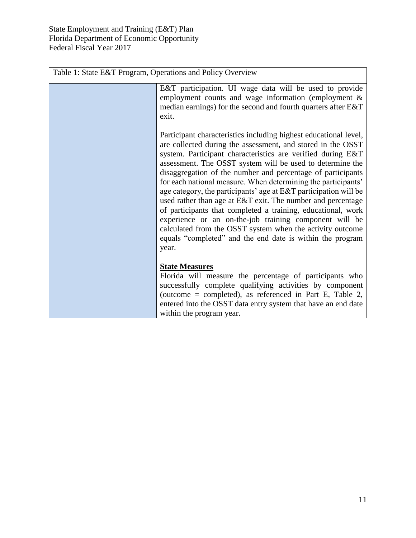| Table 1: State E&T Program, Operations and Policy Overview                                                                                                                                                                                                                                                                                                                                                                                                                                                                                                                                                                                                                                                                                                                                  |  |
|---------------------------------------------------------------------------------------------------------------------------------------------------------------------------------------------------------------------------------------------------------------------------------------------------------------------------------------------------------------------------------------------------------------------------------------------------------------------------------------------------------------------------------------------------------------------------------------------------------------------------------------------------------------------------------------------------------------------------------------------------------------------------------------------|--|
| E&T participation. UI wage data will be used to provide<br>employment counts and wage information (employment $\&$<br>median earnings) for the second and fourth quarters after E&T<br>exit.                                                                                                                                                                                                                                                                                                                                                                                                                                                                                                                                                                                                |  |
| Participant characteristics including highest educational level,<br>are collected during the assessment, and stored in the OSST<br>system. Participant characteristics are verified during E&T<br>assessment. The OSST system will be used to determine the<br>disaggregation of the number and percentage of participants<br>for each national measure. When determining the participants'<br>age category, the participants' age at E&T participation will be<br>used rather than age at E&T exit. The number and percentage<br>of participants that completed a training, educational, work<br>experience or an on-the-job training component will be<br>calculated from the OSST system when the activity outcome<br>equals "completed" and the end date is within the program<br>year. |  |
| <b>State Measures</b><br>Florida will measure the percentage of participants who<br>successfully complete qualifying activities by component<br>(outcome = completed), as referenced in Part E, Table 2,<br>entered into the OSST data entry system that have an end date<br>within the program year.                                                                                                                                                                                                                                                                                                                                                                                                                                                                                       |  |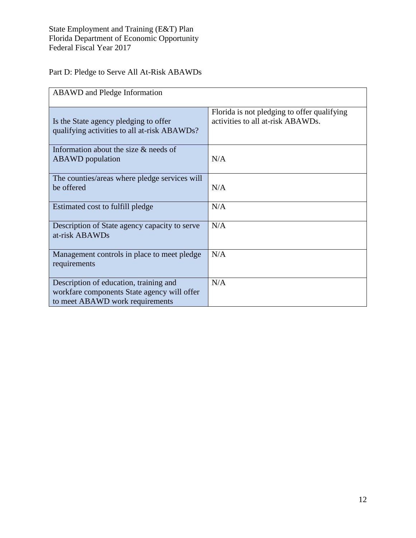## Part D: Pledge to Serve All At-Risk ABAWDs

| <b>ABAWD</b> and Pledge Information                                                                                      |                                                                                  |
|--------------------------------------------------------------------------------------------------------------------------|----------------------------------------------------------------------------------|
| Is the State agency pledging to offer<br>qualifying activities to all at-risk ABAWDs?                                    | Florida is not pledging to offer qualifying<br>activities to all at-risk ABAWDs. |
| Information about the size $&$ needs of<br><b>ABAWD</b> population                                                       | N/A                                                                              |
| The counties/areas where pledge services will<br>be offered                                                              | N/A                                                                              |
| Estimated cost to fulfill pledge                                                                                         | N/A                                                                              |
| Description of State agency capacity to serve<br>at-risk ABAWDs                                                          | N/A                                                                              |
| Management controls in place to meet pledge<br>requirements                                                              | N/A                                                                              |
| Description of education, training and<br>workfare components State agency will offer<br>to meet ABAWD work requirements | N/A                                                                              |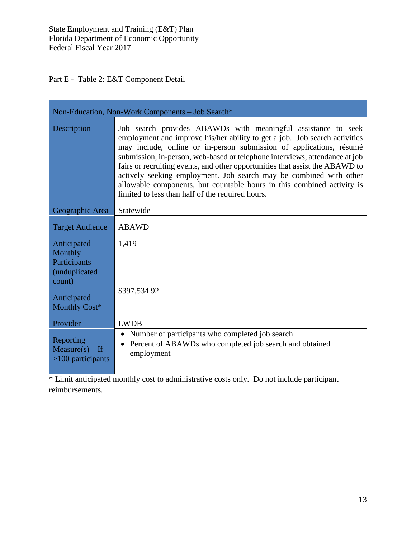Part E - Table 2: E&T Component Detail

| Non-Education, Non-Work Components - Job Search*                  |                                                                                                                                                                                                                                                                                                                                                                                                                                                                                                                                                                                       |  |  |  |
|-------------------------------------------------------------------|---------------------------------------------------------------------------------------------------------------------------------------------------------------------------------------------------------------------------------------------------------------------------------------------------------------------------------------------------------------------------------------------------------------------------------------------------------------------------------------------------------------------------------------------------------------------------------------|--|--|--|
| Description                                                       | Job search provides ABAWDs with meaningful assistance to seek<br>employment and improve his/her ability to get a job. Job search activities<br>may include, online or in-person submission of applications, résumé<br>submission, in-person, web-based or telephone interviews, attendance at job<br>fairs or recruiting events, and other opportunities that assist the ABAWD to<br>actively seeking employment. Job search may be combined with other<br>allowable components, but countable hours in this combined activity is<br>limited to less than half of the required hours. |  |  |  |
| Geographic Area                                                   | Statewide                                                                                                                                                                                                                                                                                                                                                                                                                                                                                                                                                                             |  |  |  |
| <b>Target Audience</b>                                            | <b>ABAWD</b>                                                                                                                                                                                                                                                                                                                                                                                                                                                                                                                                                                          |  |  |  |
| Anticipated<br>Monthly<br>Participants<br>(unduplicated<br>count) | 1,419                                                                                                                                                                                                                                                                                                                                                                                                                                                                                                                                                                                 |  |  |  |
| Anticipated<br>Monthly Cost*                                      | \$397,534.92                                                                                                                                                                                                                                                                                                                                                                                                                                                                                                                                                                          |  |  |  |
| Provider                                                          | <b>LWDB</b>                                                                                                                                                                                                                                                                                                                                                                                                                                                                                                                                                                           |  |  |  |
| Reporting<br>$Measure(s) - If$<br>$>100$ participants             | Number of participants who completed job search<br>Percent of ABAWDs who completed job search and obtained<br>employment                                                                                                                                                                                                                                                                                                                                                                                                                                                              |  |  |  |

\* Limit anticipated monthly cost to administrative costs only. Do not include participant reimbursements.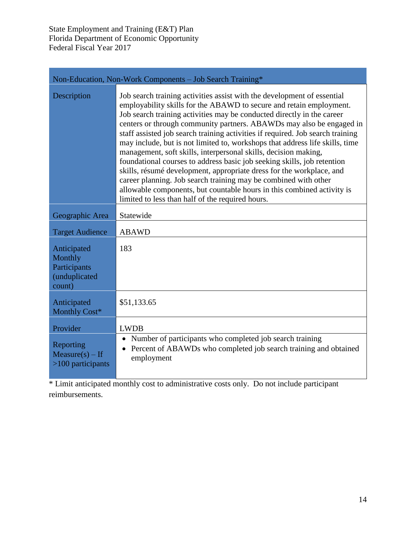| Non-Education, Non-Work Components - Job Search Training*         |                                                                                                                                                                                                                                                                                                                                                                                                                                                                                                                                                                                                                                                                                                                                                                                                                                                                                           |  |  |  |
|-------------------------------------------------------------------|-------------------------------------------------------------------------------------------------------------------------------------------------------------------------------------------------------------------------------------------------------------------------------------------------------------------------------------------------------------------------------------------------------------------------------------------------------------------------------------------------------------------------------------------------------------------------------------------------------------------------------------------------------------------------------------------------------------------------------------------------------------------------------------------------------------------------------------------------------------------------------------------|--|--|--|
| Description                                                       | Job search training activities assist with the development of essential<br>employability skills for the ABAWD to secure and retain employment.<br>Job search training activities may be conducted directly in the career<br>centers or through community partners. ABAWDs may also be engaged in<br>staff assisted job search training activities if required. Job search training<br>may include, but is not limited to, workshops that address life skills, time<br>management, soft skills, interpersonal skills, decision making,<br>foundational courses to address basic job seeking skills, job retention<br>skills, résumé development, appropriate dress for the workplace, and<br>career planning. Job search training may be combined with other<br>allowable components, but countable hours in this combined activity is<br>limited to less than half of the required hours. |  |  |  |
| Geographic Area                                                   | Statewide                                                                                                                                                                                                                                                                                                                                                                                                                                                                                                                                                                                                                                                                                                                                                                                                                                                                                 |  |  |  |
| <b>Target Audience</b>                                            | <b>ABAWD</b>                                                                                                                                                                                                                                                                                                                                                                                                                                                                                                                                                                                                                                                                                                                                                                                                                                                                              |  |  |  |
| Anticipated<br>Monthly<br>Participants<br>(unduplicated<br>count) | 183                                                                                                                                                                                                                                                                                                                                                                                                                                                                                                                                                                                                                                                                                                                                                                                                                                                                                       |  |  |  |
| Anticipated<br>Monthly Cost*                                      | \$51,133.65                                                                                                                                                                                                                                                                                                                                                                                                                                                                                                                                                                                                                                                                                                                                                                                                                                                                               |  |  |  |
| Provider                                                          | <b>LWDB</b>                                                                                                                                                                                                                                                                                                                                                                                                                                                                                                                                                                                                                                                                                                                                                                                                                                                                               |  |  |  |
| Reporting<br>$Measure(s) - If$<br>$>100$ participants             | Number of participants who completed job search training<br>$\bullet$<br>Percent of ABAWDs who completed job search training and obtained<br>$\bullet$<br>employment                                                                                                                                                                                                                                                                                                                                                                                                                                                                                                                                                                                                                                                                                                                      |  |  |  |

\* Limit anticipated monthly cost to administrative costs only. Do not include participant reimbursements.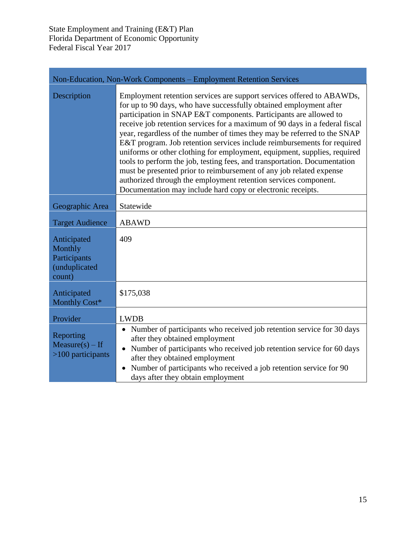| Non-Education, Non-Work Components - Employment Retention Services |                                                                                                                                                                                                                                                                                                                                                                                                                                                                                                                                                                                                                                                                                                                                                                                                                          |  |  |  |
|--------------------------------------------------------------------|--------------------------------------------------------------------------------------------------------------------------------------------------------------------------------------------------------------------------------------------------------------------------------------------------------------------------------------------------------------------------------------------------------------------------------------------------------------------------------------------------------------------------------------------------------------------------------------------------------------------------------------------------------------------------------------------------------------------------------------------------------------------------------------------------------------------------|--|--|--|
| Description                                                        | Employment retention services are support services offered to ABAWDs,<br>for up to 90 days, who have successfully obtained employment after<br>participation in SNAP E&T components. Participants are allowed to<br>receive job retention services for a maximum of 90 days in a federal fiscal<br>year, regardless of the number of times they may be referred to the SNAP<br>E&T program. Job retention services include reimbursements for required<br>uniforms or other clothing for employment, equipment, supplies, required<br>tools to perform the job, testing fees, and transportation. Documentation<br>must be presented prior to reimbursement of any job related expense<br>authorized through the employment retention services component.<br>Documentation may include hard copy or electronic receipts. |  |  |  |
| Geographic Area                                                    | Statewide                                                                                                                                                                                                                                                                                                                                                                                                                                                                                                                                                                                                                                                                                                                                                                                                                |  |  |  |
| <b>Target Audience</b>                                             | <b>ABAWD</b>                                                                                                                                                                                                                                                                                                                                                                                                                                                                                                                                                                                                                                                                                                                                                                                                             |  |  |  |
| Anticipated<br>Monthly<br>Participants<br>(unduplicated<br>count)  | 409                                                                                                                                                                                                                                                                                                                                                                                                                                                                                                                                                                                                                                                                                                                                                                                                                      |  |  |  |
| Anticipated<br>Monthly Cost*                                       | \$175,038                                                                                                                                                                                                                                                                                                                                                                                                                                                                                                                                                                                                                                                                                                                                                                                                                |  |  |  |
| Provider                                                           | <b>LWDB</b>                                                                                                                                                                                                                                                                                                                                                                                                                                                                                                                                                                                                                                                                                                                                                                                                              |  |  |  |
| Reporting<br>$Measure(s) - If$<br>$>100$ participants              | • Number of participants who received job retention service for 30 days<br>after they obtained employment<br>Number of participants who received job retention service for 60 days<br>$\bullet$<br>after they obtained employment<br>Number of participants who received a job retention service for 90<br>$\bullet$<br>days after they obtain employment                                                                                                                                                                                                                                                                                                                                                                                                                                                                |  |  |  |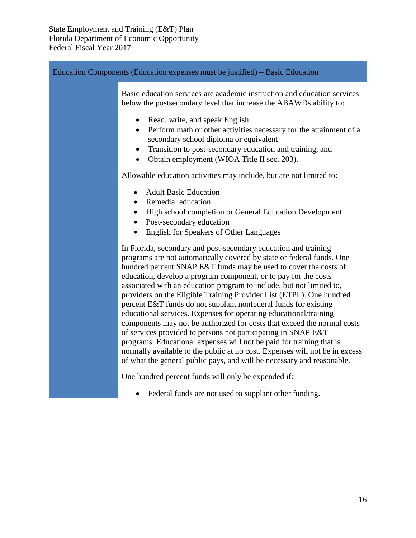| Education Components (Education expenses must be justified) – Basic Education |                                                                                                                                                                                                                                                                                                                                                                                                                                                                                                                                                                                                                                                                                                                                                                                                                                                                                                                                                      |  |
|-------------------------------------------------------------------------------|------------------------------------------------------------------------------------------------------------------------------------------------------------------------------------------------------------------------------------------------------------------------------------------------------------------------------------------------------------------------------------------------------------------------------------------------------------------------------------------------------------------------------------------------------------------------------------------------------------------------------------------------------------------------------------------------------------------------------------------------------------------------------------------------------------------------------------------------------------------------------------------------------------------------------------------------------|--|
|                                                                               | Basic education services are academic instruction and education services<br>below the postsecondary level that increase the ABAWDs ability to:                                                                                                                                                                                                                                                                                                                                                                                                                                                                                                                                                                                                                                                                                                                                                                                                       |  |
|                                                                               | Read, write, and speak English<br>$\bullet$<br>Perform math or other activities necessary for the attainment of a<br>$\bullet$<br>secondary school diploma or equivalent<br>Transition to post-secondary education and training, and<br>$\bullet$<br>Obtain employment (WIOA Title II sec. 203).<br>$\bullet$                                                                                                                                                                                                                                                                                                                                                                                                                                                                                                                                                                                                                                        |  |
|                                                                               | Allowable education activities may include, but are not limited to:                                                                                                                                                                                                                                                                                                                                                                                                                                                                                                                                                                                                                                                                                                                                                                                                                                                                                  |  |
|                                                                               | <b>Adult Basic Education</b><br>$\bullet$<br>Remedial education<br>$\bullet$<br>High school completion or General Education Development<br>$\bullet$<br>Post-secondary education<br>$\bullet$<br><b>English for Speakers of Other Languages</b><br>$\bullet$                                                                                                                                                                                                                                                                                                                                                                                                                                                                                                                                                                                                                                                                                         |  |
|                                                                               | In Florida, secondary and post-secondary education and training<br>programs are not automatically covered by state or federal funds. One<br>hundred percent SNAP E&T funds may be used to cover the costs of<br>education, develop a program component, or to pay for the costs<br>associated with an education program to include, but not limited to,<br>providers on the Eligible Training Provider List (ETPL). One hundred<br>percent E&T funds do not supplant nonfederal funds for existing<br>educational services. Expenses for operating educational/training<br>components may not be authorized for costs that exceed the normal costs<br>of services provided to persons not participating in SNAP E&T<br>programs. Educational expenses will not be paid for training that is<br>normally available to the public at no cost. Expenses will not be in excess<br>of what the general public pays, and will be necessary and reasonable. |  |
|                                                                               | One hundred percent funds will only be expended if:                                                                                                                                                                                                                                                                                                                                                                                                                                                                                                                                                                                                                                                                                                                                                                                                                                                                                                  |  |
|                                                                               | Federal funds are not used to supplant other funding.<br>$\bullet$                                                                                                                                                                                                                                                                                                                                                                                                                                                                                                                                                                                                                                                                                                                                                                                                                                                                                   |  |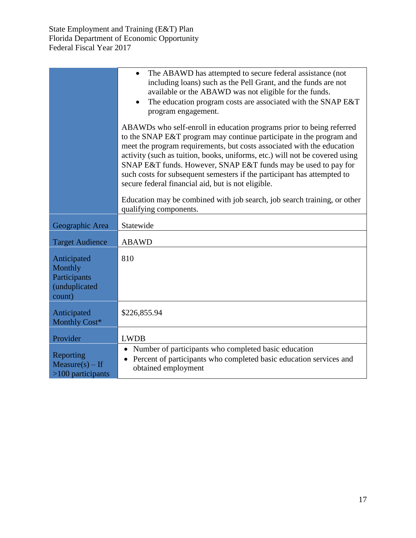|                                                                   | The ABAWD has attempted to secure federal assistance (not<br>including loans) such as the Pell Grant, and the funds are not<br>available or the ABAWD was not eligible for the funds.<br>The education program costs are associated with the SNAP E&T<br>program engagement.                                                                                                                                                                                                                            |  |  |  |  |  |
|-------------------------------------------------------------------|---------------------------------------------------------------------------------------------------------------------------------------------------------------------------------------------------------------------------------------------------------------------------------------------------------------------------------------------------------------------------------------------------------------------------------------------------------------------------------------------------------|--|--|--|--|--|
|                                                                   | ABAWDs who self-enroll in education programs prior to being referred<br>to the SNAP E&T program may continue participate in the program and<br>meet the program requirements, but costs associated with the education<br>activity (such as tuition, books, uniforms, etc.) will not be covered using<br>SNAP E&T funds. However, SNAP E&T funds may be used to pay for<br>such costs for subsequent semesters if the participant has attempted to<br>secure federal financial aid, but is not eligible. |  |  |  |  |  |
|                                                                   | Education may be combined with job search, job search training, or other<br>qualifying components.                                                                                                                                                                                                                                                                                                                                                                                                      |  |  |  |  |  |
| Geographic Area                                                   | Statewide                                                                                                                                                                                                                                                                                                                                                                                                                                                                                               |  |  |  |  |  |
| <b>Target Audience</b>                                            | <b>ABAWD</b>                                                                                                                                                                                                                                                                                                                                                                                                                                                                                            |  |  |  |  |  |
| Anticipated<br>Monthly<br>Participants<br>(unduplicated<br>count) | 810                                                                                                                                                                                                                                                                                                                                                                                                                                                                                                     |  |  |  |  |  |
| Anticipated<br>Monthly Cost*                                      | \$226,855.94                                                                                                                                                                                                                                                                                                                                                                                                                                                                                            |  |  |  |  |  |
| Provider                                                          | <b>LWDB</b>                                                                                                                                                                                                                                                                                                                                                                                                                                                                                             |  |  |  |  |  |
| Reporting<br>$Measure(s) - If$<br>$>100$ participants             | Number of participants who completed basic education<br>Percent of participants who completed basic education services and<br>obtained employment                                                                                                                                                                                                                                                                                                                                                       |  |  |  |  |  |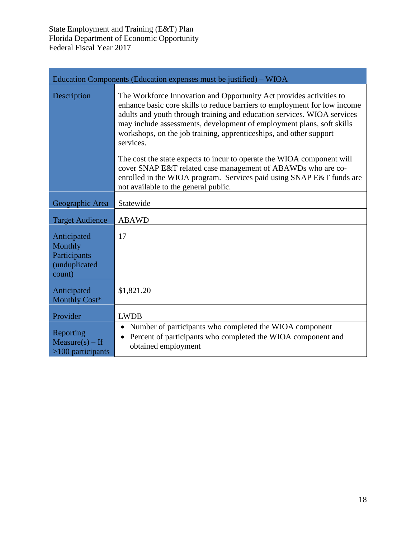| Education Components (Education expenses must be justified) – WIOA |                                                                                                                                                                                                                                                                                                                                                                                         |  |  |  |  |  |
|--------------------------------------------------------------------|-----------------------------------------------------------------------------------------------------------------------------------------------------------------------------------------------------------------------------------------------------------------------------------------------------------------------------------------------------------------------------------------|--|--|--|--|--|
| Description                                                        | The Workforce Innovation and Opportunity Act provides activities to<br>enhance basic core skills to reduce barriers to employment for low income<br>adults and youth through training and education services. WIOA services<br>may include assessments, development of employment plans, soft skills<br>workshops, on the job training, apprenticeships, and other support<br>services. |  |  |  |  |  |
|                                                                    | The cost the state expects to incur to operate the WIOA component will<br>cover SNAP E&T related case management of ABAWDs who are co-<br>enrolled in the WIOA program. Services paid using SNAP E&T funds are<br>not available to the general public.                                                                                                                                  |  |  |  |  |  |
| Geographic Area                                                    | Statewide                                                                                                                                                                                                                                                                                                                                                                               |  |  |  |  |  |
| <b>Target Audience</b>                                             | <b>ABAWD</b>                                                                                                                                                                                                                                                                                                                                                                            |  |  |  |  |  |
| Anticipated<br>Monthly<br>Participants<br>(unduplicated<br>count)  | 17                                                                                                                                                                                                                                                                                                                                                                                      |  |  |  |  |  |
| Anticipated<br>Monthly Cost*                                       | \$1,821.20                                                                                                                                                                                                                                                                                                                                                                              |  |  |  |  |  |
| Provider                                                           | <b>LWDB</b>                                                                                                                                                                                                                                                                                                                                                                             |  |  |  |  |  |
| Reporting<br>$Measure(s) - If$<br>$>100$ participants              | Number of participants who completed the WIOA component<br>$\bullet$<br>Percent of participants who completed the WIOA component and<br>$\bullet$<br>obtained employment                                                                                                                                                                                                                |  |  |  |  |  |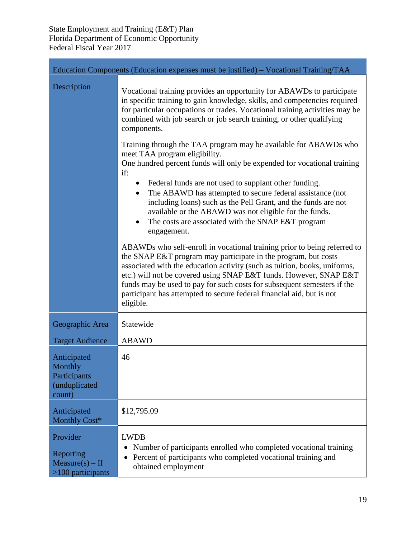|                                                                   | Education Components (Education expenses must be justified) – Vocational Training/TAA                                                                                                                                                                                                                                                                                                                                                                         |
|-------------------------------------------------------------------|---------------------------------------------------------------------------------------------------------------------------------------------------------------------------------------------------------------------------------------------------------------------------------------------------------------------------------------------------------------------------------------------------------------------------------------------------------------|
| Description                                                       | Vocational training provides an opportunity for ABAWDs to participate<br>in specific training to gain knowledge, skills, and competencies required<br>for particular occupations or trades. Vocational training activities may be<br>combined with job search or job search training, or other qualifying<br>components.                                                                                                                                      |
|                                                                   | Training through the TAA program may be available for ABAWDs who<br>meet TAA program eligibility.<br>One hundred percent funds will only be expended for vocational training<br>if:                                                                                                                                                                                                                                                                           |
|                                                                   | Federal funds are not used to supplant other funding.<br>The ABAWD has attempted to secure federal assistance (not<br>$\bullet$<br>including loans) such as the Pell Grant, and the funds are not<br>available or the ABAWD was not eligible for the funds.<br>The costs are associated with the SNAP E&T program<br>$\bullet$<br>engagement.                                                                                                                 |
|                                                                   | ABAWDs who self-enroll in vocational training prior to being referred to<br>the SNAP E&T program may participate in the program, but costs<br>associated with the education activity (such as tuition, books, uniforms,<br>etc.) will not be covered using SNAP E&T funds. However, SNAP E&T<br>funds may be used to pay for such costs for subsequent semesters if the<br>participant has attempted to secure federal financial aid, but is not<br>eligible. |
| Geographic Area                                                   | Statewide                                                                                                                                                                                                                                                                                                                                                                                                                                                     |
| <b>Target Audience</b>                                            | <b>ABAWD</b>                                                                                                                                                                                                                                                                                                                                                                                                                                                  |
| Anticipated<br>Monthly<br>Participants<br>(unduplicated<br>count) | 46                                                                                                                                                                                                                                                                                                                                                                                                                                                            |
| Anticipated<br>Monthly Cost*                                      | \$12,795.09                                                                                                                                                                                                                                                                                                                                                                                                                                                   |
| Provider                                                          | <b>LWDB</b>                                                                                                                                                                                                                                                                                                                                                                                                                                                   |
| Reporting<br>$Measure(s) - If$<br>$>100$ participants             | Number of participants enrolled who completed vocational training<br>Percent of participants who completed vocational training and<br>obtained employment                                                                                                                                                                                                                                                                                                     |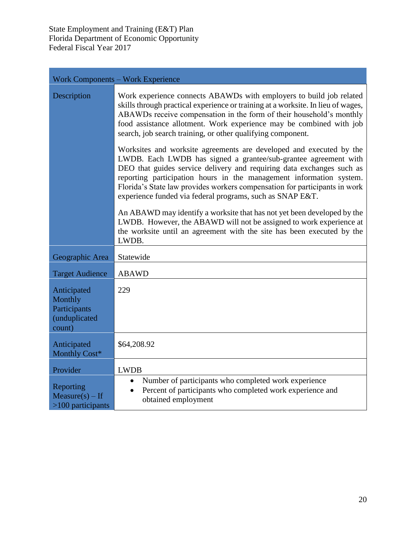|                                                                   | <b>Work Components – Work Experience</b>                                                                                                                                                                                                                                                                                                                                                                                          |
|-------------------------------------------------------------------|-----------------------------------------------------------------------------------------------------------------------------------------------------------------------------------------------------------------------------------------------------------------------------------------------------------------------------------------------------------------------------------------------------------------------------------|
| Description                                                       | Work experience connects ABAWDs with employers to build job related<br>skills through practical experience or training at a worksite. In lieu of wages,<br>ABAWDs receive compensation in the form of their household's monthly<br>food assistance allotment. Work experience may be combined with job<br>search, job search training, or other qualifying component.                                                             |
|                                                                   | Worksites and worksite agreements are developed and executed by the<br>LWDB. Each LWDB has signed a grantee/sub-grantee agreement with<br>DEO that guides service delivery and requiring data exchanges such as<br>reporting participation hours in the management information system.<br>Florida's State law provides workers compensation for participants in work<br>experience funded via federal programs, such as SNAP E&T. |
|                                                                   | An ABAWD may identify a worksite that has not yet been developed by the<br>LWDB. However, the ABAWD will not be assigned to work experience at<br>the worksite until an agreement with the site has been executed by the<br>LWDB.                                                                                                                                                                                                 |
| Geographic Area                                                   | Statewide                                                                                                                                                                                                                                                                                                                                                                                                                         |
| <b>Target Audience</b>                                            | <b>ABAWD</b>                                                                                                                                                                                                                                                                                                                                                                                                                      |
| Anticipated<br>Monthly<br>Participants<br>(unduplicated<br>count) | 229                                                                                                                                                                                                                                                                                                                                                                                                                               |
| Anticipated<br>Monthly Cost*                                      | \$64,208.92                                                                                                                                                                                                                                                                                                                                                                                                                       |
| Provider                                                          | <b>LWDB</b>                                                                                                                                                                                                                                                                                                                                                                                                                       |
| Reporting<br>$Measure(s) - If$<br>$>100$ participants             | Number of participants who completed work experience<br>$\bullet$<br>Percent of participants who completed work experience and<br>obtained employment                                                                                                                                                                                                                                                                             |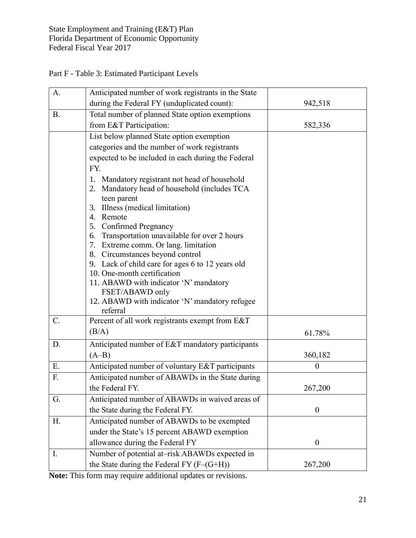|  |  | Part F - Table 3: Estimated Participant Levels |  |  |
|--|--|------------------------------------------------|--|--|
|  |  |                                                |  |  |

| A.        | Anticipated number of work registrants in the State                             |                  |
|-----------|---------------------------------------------------------------------------------|------------------|
|           | during the Federal FY (unduplicated count):                                     | 942,518          |
| <b>B.</b> | Total number of planned State option exemptions                                 |                  |
|           | from E&T Participation:                                                         | 582,336          |
|           | List below planned State option exemption                                       |                  |
|           | categories and the number of work registrants                                   |                  |
|           | expected to be included in each during the Federal                              |                  |
|           | FY.                                                                             |                  |
|           | Mandatory registrant not head of household<br>1.                                |                  |
|           | Mandatory head of household (includes TCA<br>2.                                 |                  |
|           | teen parent<br>Illness (medical limitation)<br>3.                               |                  |
|           | 4. Remote                                                                       |                  |
|           | 5. Confirmed Pregnancy                                                          |                  |
|           | Transportation unavailable for over 2 hours<br>6.                               |                  |
|           | 7. Extreme comm. Or lang. limitation                                            |                  |
|           | 8. Circumstances beyond control                                                 |                  |
|           | 9. Lack of child care for ages 6 to 12 years old<br>10. One-month certification |                  |
|           | 11. ABAWD with indicator 'N' mandatory                                          |                  |
|           | FSET/ABAWD only                                                                 |                  |
|           | 12. ABAWD with indicator 'N' mandatory refugee                                  |                  |
|           | referral                                                                        |                  |
| $C$ .     | Percent of all work registrants exempt from E&T                                 |                  |
|           | (B/A)                                                                           | 61.78%           |
| D.        | Anticipated number of E&T mandatory participants                                |                  |
|           | $(A-B)$                                                                         | 360,182          |
| E.        | Anticipated number of voluntary E&T participants                                | $\overline{0}$   |
| F.        | Anticipated number of ABAWDs in the State during                                |                  |
|           | the Federal FY.                                                                 | 267,200          |
| G.        | Anticipated number of ABAWDs in waived areas of                                 |                  |
|           | the State during the Federal FY.                                                | $\boldsymbol{0}$ |
| H.        | Anticipated number of ABAWDs to be exempted                                     |                  |
|           | under the State's 15 percent ABAWD exemption                                    |                  |
|           | allowance during the Federal FY                                                 | $\boldsymbol{0}$ |
| I.        | Number of potential at-risk ABAWDs expected in                                  |                  |
|           | the State during the Federal FY $(F-(G+H))$                                     | 267,200          |

**Note:** This form may require additional updates or revisions.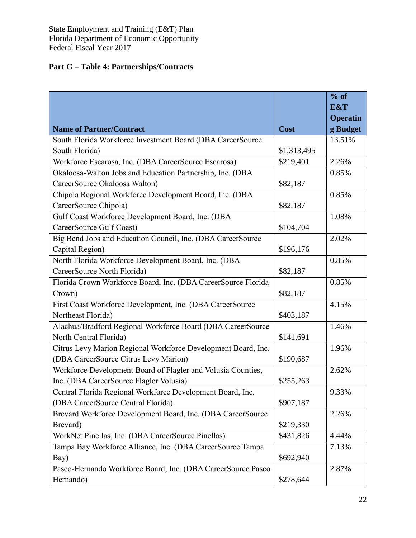## **Part G – Table 4: Partnerships/Contracts**

|                                                               |             | $%$ of          |
|---------------------------------------------------------------|-------------|-----------------|
|                                                               |             | E&T             |
|                                                               |             | <b>Operatin</b> |
| <b>Name of Partner/Contract</b>                               | Cost        | g Budget        |
| South Florida Workforce Investment Board (DBA CareerSource    |             | 13.51%          |
| South Florida)                                                | \$1,313,495 |                 |
| Workforce Escarosa, Inc. (DBA CareerSource Escarosa)          | \$219,401   | 2.26%           |
| Okaloosa-Walton Jobs and Education Partnership, Inc. (DBA     |             | 0.85%           |
| CareerSource Okaloosa Walton)                                 | \$82,187    |                 |
| Chipola Regional Workforce Development Board, Inc. (DBA       |             | 0.85%           |
| CareerSource Chipola)                                         | \$82,187    |                 |
| Gulf Coast Workforce Development Board, Inc. (DBA             |             | 1.08%           |
| CareerSource Gulf Coast)                                      | \$104,704   |                 |
| Big Bend Jobs and Education Council, Inc. (DBA CareerSource   |             | 2.02%           |
| Capital Region)                                               | \$196,176   |                 |
| North Florida Workforce Development Board, Inc. (DBA          |             | 0.85%           |
| CareerSource North Florida)                                   | \$82,187    |                 |
| Florida Crown Workforce Board, Inc. (DBA CareerSource Florida |             | 0.85%           |
| Crown)                                                        | \$82,187    |                 |
| First Coast Workforce Development, Inc. (DBA CareerSource     |             | 4.15%           |
| Northeast Florida)                                            | \$403,187   |                 |
| Alachua/Bradford Regional Workforce Board (DBA CareerSource   |             | 1.46%           |
| North Central Florida)                                        | \$141,691   |                 |
| Citrus Levy Marion Regional Workforce Development Board, Inc. |             | 1.96%           |
| (DBA CareerSource Citrus Levy Marion)                         | \$190,687   |                 |
| Workforce Development Board of Flagler and Volusia Counties,  |             | 2.62%           |
| Inc. (DBA CareerSource Flagler Volusia)                       | \$255,263   |                 |
| Central Florida Regional Workforce Development Board, Inc.    |             | 9.33%           |
| (DBA CareerSource Central Florida)                            | \$907,187   |                 |
| Brevard Workforce Development Board, Inc. (DBA CareerSource   |             | 2.26%           |
| Brevard)                                                      | \$219,330   |                 |
| WorkNet Pinellas, Inc. (DBA CareerSource Pinellas)            | \$431,826   | 4.44%           |
| Tampa Bay Workforce Alliance, Inc. (DBA CareerSource Tampa    |             | 7.13%           |
| Bay)                                                          | \$692,940   |                 |
| Pasco-Hernando Workforce Board, Inc. (DBA CareerSource Pasco  |             | 2.87%           |
| Hernando)                                                     | \$278,644   |                 |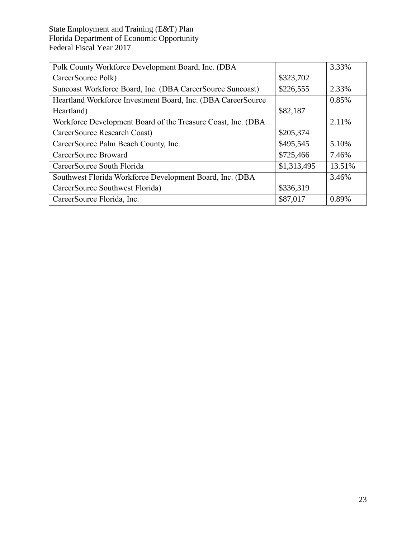| Polk County Workforce Development Board, Inc. (DBA            |             | 3.33%  |
|---------------------------------------------------------------|-------------|--------|
| CareerSource Polk)                                            | \$323,702   |        |
| Suncoast Workforce Board, Inc. (DBA CareerSource Suncoast)    | \$226,555   | 2.33%  |
| Heartland Workforce Investment Board, Inc. (DBA CareerSource) |             | 0.85%  |
| Heartland)                                                    | \$82,187    |        |
| Workforce Development Board of the Treasure Coast, Inc. (DBA  |             | 2.11%  |
| CareerSource Research Coast)                                  | \$205,374   |        |
| CareerSource Palm Beach County, Inc.                          | \$495,545   | 5.10%  |
| CareerSource Broward                                          | \$725,466   | 7.46%  |
| CareerSource South Florida                                    | \$1,313,495 | 13.51% |
| Southwest Florida Workforce Development Board, Inc. (DBA      |             | 3.46%  |
| CareerSource Southwest Florida)                               | \$336,319   |        |
| CareerSource Florida, Inc.                                    | \$87,017    | 0.89%  |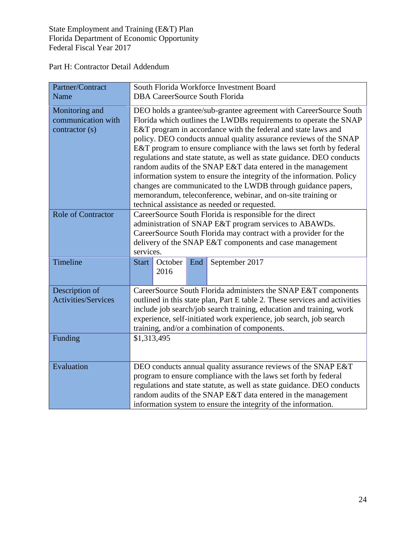Part H: Contractor Detail Addendum

| Partner/Contract<br>Name                              | South Florida Workforce Investment Board<br><b>DBA CareerSource South Florida</b>                                                                                                                                                                                                                                                                                                                                                                                                                                                                                                                                                                                                                                                                       |  |  |
|-------------------------------------------------------|---------------------------------------------------------------------------------------------------------------------------------------------------------------------------------------------------------------------------------------------------------------------------------------------------------------------------------------------------------------------------------------------------------------------------------------------------------------------------------------------------------------------------------------------------------------------------------------------------------------------------------------------------------------------------------------------------------------------------------------------------------|--|--|
| Monitoring and<br>communication with<br>contractor(s) | DEO holds a grantee/sub-grantee agreement with CareerSource South<br>Florida which outlines the LWDBs requirements to operate the SNAP<br>E&T program in accordance with the federal and state laws and<br>policy. DEO conducts annual quality assurance reviews of the SNAP<br>E&T program to ensure compliance with the laws set forth by federal<br>regulations and state statute, as well as state guidance. DEO conducts<br>random audits of the SNAP E&T data entered in the management<br>information system to ensure the integrity of the information. Policy<br>changes are communicated to the LWDB through guidance papers,<br>memorandum, teleconference, webinar, and on-site training or<br>technical assistance as needed or requested. |  |  |
| <b>Role of Contractor</b>                             | CareerSource South Florida is responsible for the direct<br>administration of SNAP E&T program services to ABAWDs.<br>CareerSource South Florida may contract with a provider for the<br>delivery of the SNAP E&T components and case management<br>services.                                                                                                                                                                                                                                                                                                                                                                                                                                                                                           |  |  |
| Timeline                                              | October<br>September 2017<br><b>Start</b><br>End<br>2016                                                                                                                                                                                                                                                                                                                                                                                                                                                                                                                                                                                                                                                                                                |  |  |
| Description of<br><b>Activities/Services</b>          | CareerSource South Florida administers the SNAP E&T components<br>outlined in this state plan, Part E table 2. These services and activities<br>include job search/job search training, education and training, work<br>experience, self-initiated work experience, job search, job search<br>training, and/or a combination of components.                                                                                                                                                                                                                                                                                                                                                                                                             |  |  |
| Funding                                               | \$1,313,495                                                                                                                                                                                                                                                                                                                                                                                                                                                                                                                                                                                                                                                                                                                                             |  |  |
| Evaluation                                            | DEO conducts annual quality assurance reviews of the SNAP E&T<br>program to ensure compliance with the laws set forth by federal<br>regulations and state statute, as well as state guidance. DEO conducts<br>random audits of the SNAP E&T data entered in the management<br>information system to ensure the integrity of the information.                                                                                                                                                                                                                                                                                                                                                                                                            |  |  |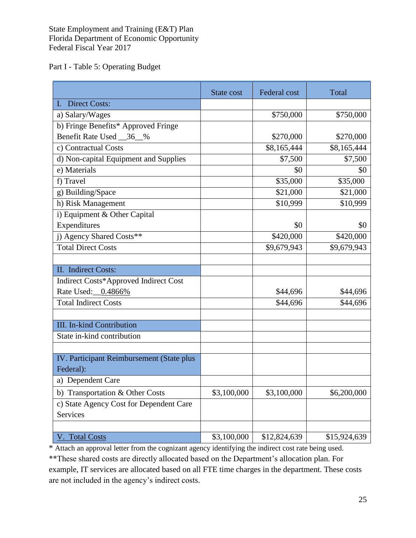Part I - Table 5: Operating Budget

|                                           | State cost  | Federal cost | Total        |
|-------------------------------------------|-------------|--------------|--------------|
| <b>Direct Costs:</b>                      |             |              |              |
| a) Salary/Wages                           |             | \$750,000    | \$750,000    |
| b) Fringe Benefits* Approved Fringe       |             |              |              |
| Benefit Rate Used 36 %                    |             | \$270,000    | \$270,000    |
| c) Contractual Costs                      |             | \$8,165,444  | \$8,165,444  |
| d) Non-capital Equipment and Supplies     |             | \$7,500      | \$7,500      |
| e) Materials                              |             | \$0          | \$0          |
| f) Travel                                 |             | \$35,000     | \$35,000     |
| g) Building/Space                         |             | \$21,000     | \$21,000     |
| h) Risk Management                        |             | \$10,999     | \$10,999     |
| i) Equipment & Other Capital              |             |              |              |
| Expenditures                              |             | \$0          | \$0          |
| j) Agency Shared Costs**                  |             | \$420,000    | \$420,000    |
| <b>Total Direct Costs</b>                 |             | \$9,679,943  | \$9,679,943  |
|                                           |             |              |              |
| II. Indirect Costs:                       |             |              |              |
| Indirect Costs*Approved Indirect Cost     |             |              |              |
| Rate Used: 0.4866%                        |             | \$44,696     | \$44,696     |
| <b>Total Indirect Costs</b>               |             | \$44,696     | \$44,696     |
|                                           |             |              |              |
| <b>III.</b> In-kind Contribution          |             |              |              |
| State in-kind contribution                |             |              |              |
|                                           |             |              |              |
| IV. Participant Reimbursement (State plus |             |              |              |
| Federal):                                 |             |              |              |
| a) Dependent Care                         |             |              |              |
| b) Transportation & Other Costs           | \$3,100,000 | \$3,100,000  | \$6,200,000  |
| c) State Agency Cost for Dependent Care   |             |              |              |
| Services                                  |             |              |              |
|                                           |             |              |              |
| V. Total Costs                            | \$3,100,000 | \$12,824,639 | \$15,924,639 |

\* Attach an approval letter from the cognizant agency identifying the indirect cost rate being used.

\*\*These shared costs are directly allocated based on the Department's allocation plan. For example, IT services are allocated based on all FTE time charges in the department. These costs are not included in the agency's indirect costs.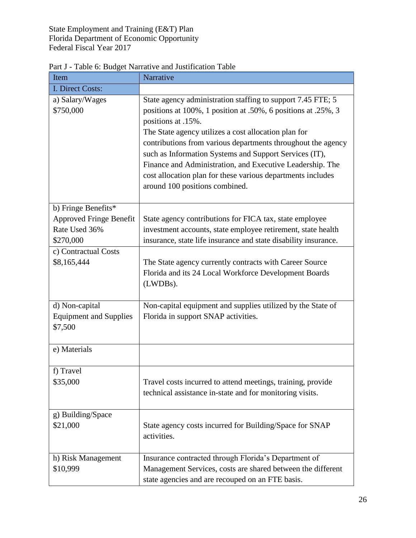| Item                                                                                | Narrative                                                                                                                                                                                                                                                                                                                                                                                                                                                                                          |
|-------------------------------------------------------------------------------------|----------------------------------------------------------------------------------------------------------------------------------------------------------------------------------------------------------------------------------------------------------------------------------------------------------------------------------------------------------------------------------------------------------------------------------------------------------------------------------------------------|
| <b>I. Direct Costs:</b>                                                             |                                                                                                                                                                                                                                                                                                                                                                                                                                                                                                    |
| a) Salary/Wages<br>\$750,000                                                        | State agency administration staffing to support 7.45 FTE; 5<br>positions at 100%, 1 position at .50%, 6 positions at .25%, 3<br>positions at .15%.<br>The State agency utilizes a cost allocation plan for<br>contributions from various departments throughout the agency<br>such as Information Systems and Support Services (IT),<br>Finance and Administration, and Executive Leadership. The<br>cost allocation plan for these various departments includes<br>around 100 positions combined. |
| b) Fringe Benefits*<br><b>Approved Fringe Benefit</b><br>Rate Used 36%<br>\$270,000 | State agency contributions for FICA tax, state employee<br>investment accounts, state employee retirement, state health<br>insurance, state life insurance and state disability insurance.                                                                                                                                                                                                                                                                                                         |
| c) Contractual Costs<br>\$8,165,444                                                 | The State agency currently contracts with Career Source<br>Florida and its 24 Local Workforce Development Boards<br>(LWDBs).                                                                                                                                                                                                                                                                                                                                                                       |
| d) Non-capital<br><b>Equipment and Supplies</b><br>\$7,500                          | Non-capital equipment and supplies utilized by the State of<br>Florida in support SNAP activities.                                                                                                                                                                                                                                                                                                                                                                                                 |
| e) Materials                                                                        |                                                                                                                                                                                                                                                                                                                                                                                                                                                                                                    |
| f) Travel<br>\$35,000                                                               | Travel costs incurred to attend meetings, training, provide<br>technical assistance in-state and for monitoring visits.                                                                                                                                                                                                                                                                                                                                                                            |
| g) Building/Space<br>\$21,000                                                       | State agency costs incurred for Building/Space for SNAP<br>activities.                                                                                                                                                                                                                                                                                                                                                                                                                             |
| h) Risk Management<br>\$10,999                                                      | Insurance contracted through Florida's Department of<br>Management Services, costs are shared between the different<br>state agencies and are recouped on an FTE basis.                                                                                                                                                                                                                                                                                                                            |

Part J - Table 6: Budget Narrative and Justification Table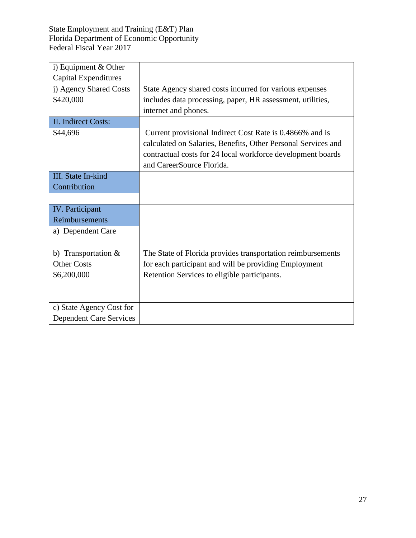| i) Equipment $&$ Other         |                                                               |
|--------------------------------|---------------------------------------------------------------|
| <b>Capital Expenditures</b>    |                                                               |
| j) Agency Shared Costs         | State Agency shared costs incurred for various expenses       |
| \$420,000                      | includes data processing, paper, HR assessment, utilities,    |
|                                | internet and phones.                                          |
| <b>II.</b> Indirect Costs:     |                                                               |
| \$44,696                       | Current provisional Indirect Cost Rate is 0.4866% and is      |
|                                | calculated on Salaries, Benefits, Other Personal Services and |
|                                | contractual costs for 24 local workforce development boards   |
|                                | and CareerSource Florida.                                     |
| <b>III.</b> State In-kind      |                                                               |
| Contribution                   |                                                               |
|                                |                                                               |
| IV. Participant                |                                                               |
| Reimbursements                 |                                                               |
| a) Dependent Care              |                                                               |
|                                |                                                               |
| b) Transportation $&$          | The State of Florida provides transportation reimbursements   |
| <b>Other Costs</b>             | for each participant and will be providing Employment         |
| \$6,200,000                    | Retention Services to eligible participants.                  |
|                                |                                                               |
|                                |                                                               |
| c) State Agency Cost for       |                                                               |
| <b>Dependent Care Services</b> |                                                               |